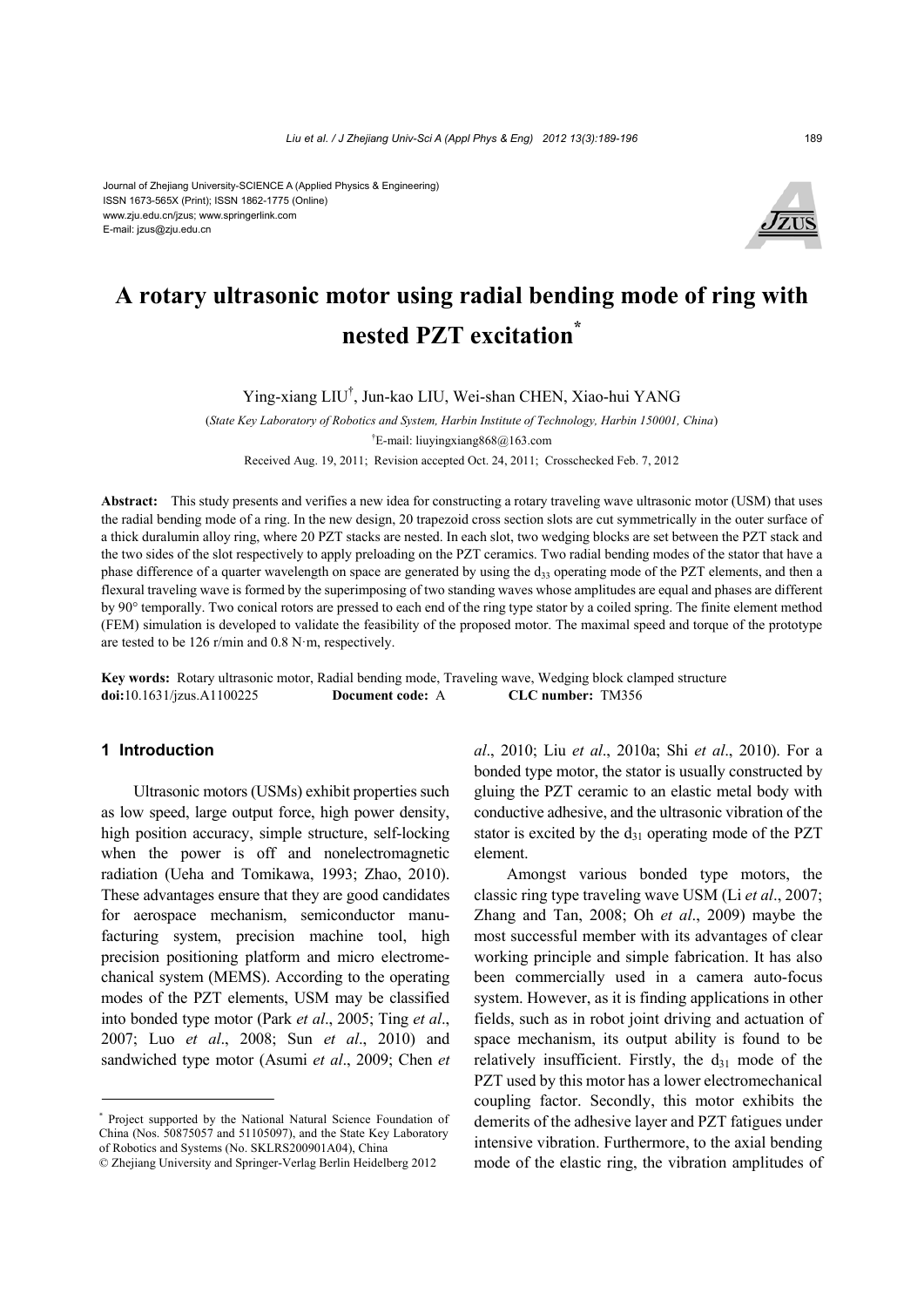#### Journal of Zhejiang University-SCIENCE A (Applied Physics & Engineering) ISSN 1673-565X (Print); ISSN 1862-1775 (Online) www.zju.edu.cn/jzus; www.springerlink.com E-mail: jzus@zju.edu.cn



# **A rotary ultrasonic motor using radial bending mode of ring with nested PZT excitation\***

Ying-xiang LIU† , Jun-kao LIU, Wei-shan CHEN, Xiao-hui YANG

(*State Key Laboratory of Robotics and System, Harbin Institute of Technology, Harbin 150001, China*) † E-mail: liuyingxiang868@163.com Received Aug. 19, 2011; Revision accepted Oct. 24, 2011; Crosschecked Feb. 7, 2012

**Abstract:** This study presents and verifies a new idea for constructing a rotary traveling wave ultrasonic motor (USM) that uses the radial bending mode of a ring. In the new design, 20 trapezoid cross section slots are cut symmetrically in the outer surface of a thick duralumin alloy ring, where 20 PZT stacks are nested. In each slot, two wedging blocks are set between the PZT stack and the two sides of the slot respectively to apply preloading on the PZT ceramics. Two radial bending modes of the stator that have a phase difference of a quarter wavelength on space are generated by using the  $d_{33}$  operating mode of the PZT elements, and then a flexural traveling wave is formed by the superimposing of two standing waves whose amplitudes are equal and phases are different by 90° temporally. Two conical rotors are pressed to each end of the ring type stator by a coiled spring. The finite element method (FEM) simulation is developed to validate the feasibility of the proposed motor. The maximal speed and torque of the prototype are tested to be 126 r/min and 0.8 N·m, respectively.

**Key words:** Rotary ultrasonic motor, Radial bending mode, Traveling wave, Wedging block clamped structure **doi:**10.1631/jzus.A1100225 **Document code:** A **CLC number:** TM356

### **1 Introduction**

Ultrasonic motors (USMs) exhibit properties such as low speed, large output force, high power density, high position accuracy, simple structure, self-locking when the power is off and nonelectromagnetic radiation (Ueha and Tomikawa, 1993; Zhao, 2010). These advantages ensure that they are good candidates for aerospace mechanism, semiconductor manufacturing system, precision machine tool, high precision positioning platform and micro electromechanical system (MEMS). According to the operating modes of the PZT elements, USM may be classified into bonded type motor (Park *et al*., 2005; Ting *et al*., 2007; Luo *et al*., 2008; Sun *et al*., 2010) and sandwiched type motor (Asumi *et al*., 2009; Chen *et* 

*al*., 2010; Liu *et al*., 2010a; Shi *et al*., 2010). For a bonded type motor, the stator is usually constructed by gluing the PZT ceramic to an elastic metal body with conductive adhesive, and the ultrasonic vibration of the stator is excited by the  $d_{31}$  operating mode of the PZT element.

Amongst various bonded type motors, the classic ring type traveling wave USM (Li *et al*., 2007; Zhang and Tan, 2008; Oh *et al*., 2009) maybe the most successful member with its advantages of clear working principle and simple fabrication. It has also been commercially used in a camera auto-focus system. However, as it is finding applications in other fields, such as in robot joint driving and actuation of space mechanism, its output ability is found to be relatively insufficient. Firstly, the  $d_{31}$  mode of the PZT used by this motor has a lower electromechanical coupling factor. Secondly, this motor exhibits the demerits of the adhesive layer and PZT fatigues under intensive vibration. Furthermore, to the axial bending mode of the elastic ring, the vibration amplitudes of

<sup>\*</sup> Project supported by the National Natural Science Foundation of China (Nos. 50875057 and 51105097), and the State Key Laboratory of Robotics and Systems (No. SKLRS200901A04), China

<sup>©</sup> Zhejiang University and Springer-Verlag Berlin Heidelberg 2012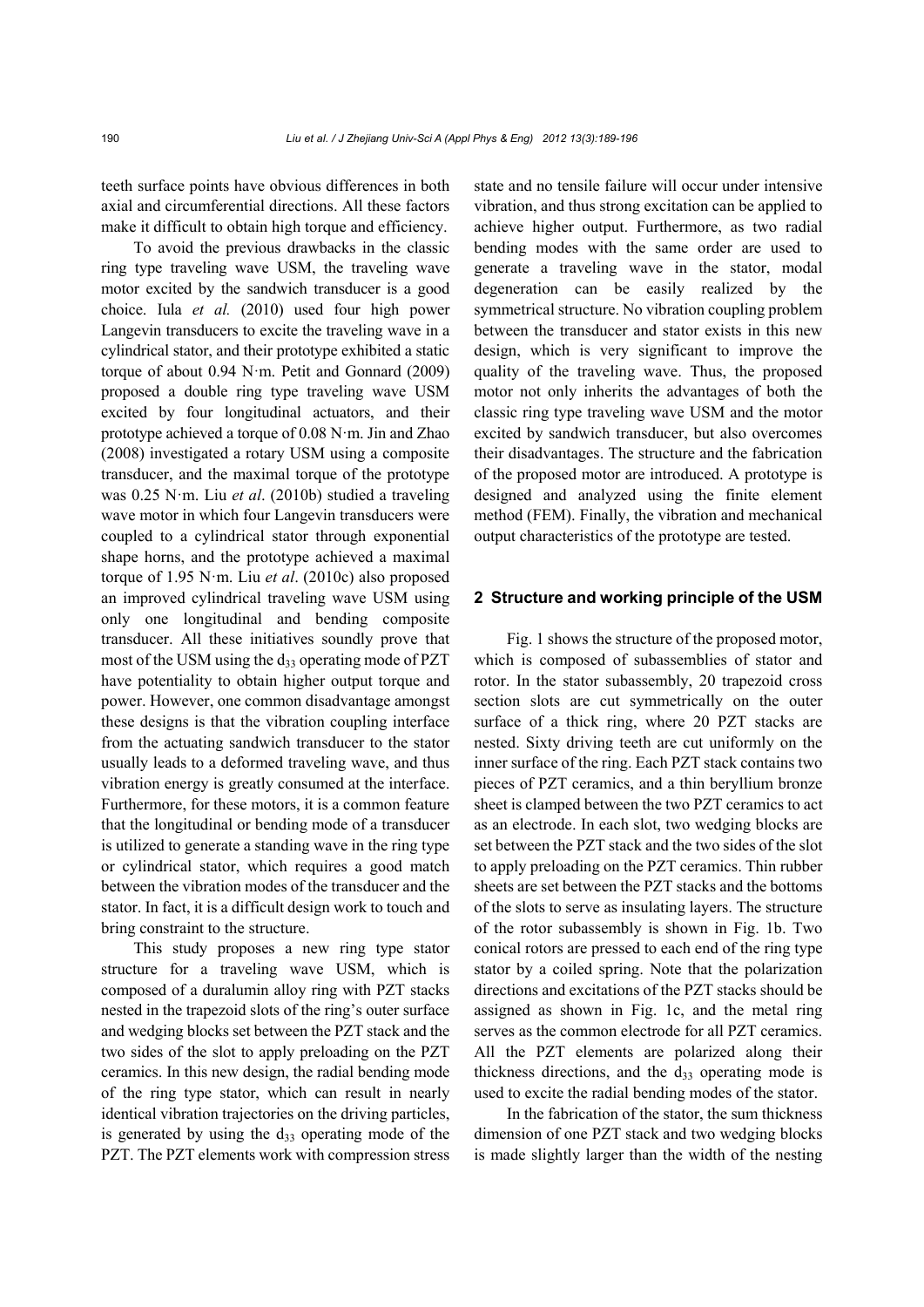teeth surface points have obvious differences in both axial and circumferential directions. All these factors make it difficult to obtain high torque and efficiency.

To avoid the previous drawbacks in the classic ring type traveling wave USM, the traveling wave motor excited by the sandwich transducer is a good choice. Iula *et al.* (2010) used four high power Langevin transducers to excite the traveling wave in a cylindrical stator, and their prototype exhibited a static torque of about 0.94 N·m. Petit and Gonnard (2009) proposed a double ring type traveling wave USM excited by four longitudinal actuators, and their prototype achieved a torque of 0.08 N·m. Jin and Zhao (2008) investigated a rotary USM using a composite transducer, and the maximal torque of the prototype was 0.25 N·m. Liu *et al*. (2010b) studied a traveling wave motor in which four Langevin transducers were coupled to a cylindrical stator through exponential shape horns, and the prototype achieved a maximal torque of 1.95 N·m. Liu *et al*. (2010c) also proposed an improved cylindrical traveling wave USM using only one longitudinal and bending composite transducer. All these initiatives soundly prove that most of the USM using the  $d_{33}$  operating mode of PZT have potentiality to obtain higher output torque and power. However, one common disadvantage amongst these designs is that the vibration coupling interface from the actuating sandwich transducer to the stator usually leads to a deformed traveling wave, and thus vibration energy is greatly consumed at the interface. Furthermore, for these motors, it is a common feature that the longitudinal or bending mode of a transducer is utilized to generate a standing wave in the ring type or cylindrical stator, which requires a good match between the vibration modes of the transducer and the stator. In fact, it is a difficult design work to touch and bring constraint to the structure.

This study proposes a new ring type stator structure for a traveling wave USM, which is composed of a duralumin alloy ring with PZT stacks nested in the trapezoid slots of the ring's outer surface and wedging blocks set between the PZT stack and the two sides of the slot to apply preloading on the PZT ceramics. In this new design, the radial bending mode of the ring type stator, which can result in nearly identical vibration trajectories on the driving particles, is generated by using the  $d_{33}$  operating mode of the PZT. The PZT elements work with compression stress state and no tensile failure will occur under intensive vibration, and thus strong excitation can be applied to achieve higher output. Furthermore, as two radial bending modes with the same order are used to generate a traveling wave in the stator, modal degeneration can be easily realized by the symmetrical structure. No vibration coupling problem between the transducer and stator exists in this new design, which is very significant to improve the quality of the traveling wave. Thus, the proposed motor not only inherits the advantages of both the classic ring type traveling wave USM and the motor excited by sandwich transducer, but also overcomes their disadvantages. The structure and the fabrication of the proposed motor are introduced. A prototype is designed and analyzed using the finite element method (FEM). Finally, the vibration and mechanical output characteristics of the prototype are tested.

#### **2 Structure and working principle of the USM**

Fig. 1 shows the structure of the proposed motor, which is composed of subassemblies of stator and rotor. In the stator subassembly, 20 trapezoid cross section slots are cut symmetrically on the outer surface of a thick ring, where 20 PZT stacks are nested. Sixty driving teeth are cut uniformly on the inner surface of the ring. Each PZT stack contains two pieces of PZT ceramics, and a thin beryllium bronze sheet is clamped between the two PZT ceramics to act as an electrode. In each slot, two wedging blocks are set between the PZT stack and the two sides of the slot to apply preloading on the PZT ceramics. Thin rubber sheets are set between the PZT stacks and the bottoms of the slots to serve as insulating layers. The structure of the rotor subassembly is shown in Fig. 1b. Two conical rotors are pressed to each end of the ring type stator by a coiled spring. Note that the polarization directions and excitations of the PZT stacks should be assigned as shown in Fig. 1c, and the metal ring serves as the common electrode for all PZT ceramics. All the PZT elements are polarized along their thickness directions, and the  $d_{33}$  operating mode is used to excite the radial bending modes of the stator.

In the fabrication of the stator, the sum thickness dimension of one PZT stack and two wedging blocks is made slightly larger than the width of the nesting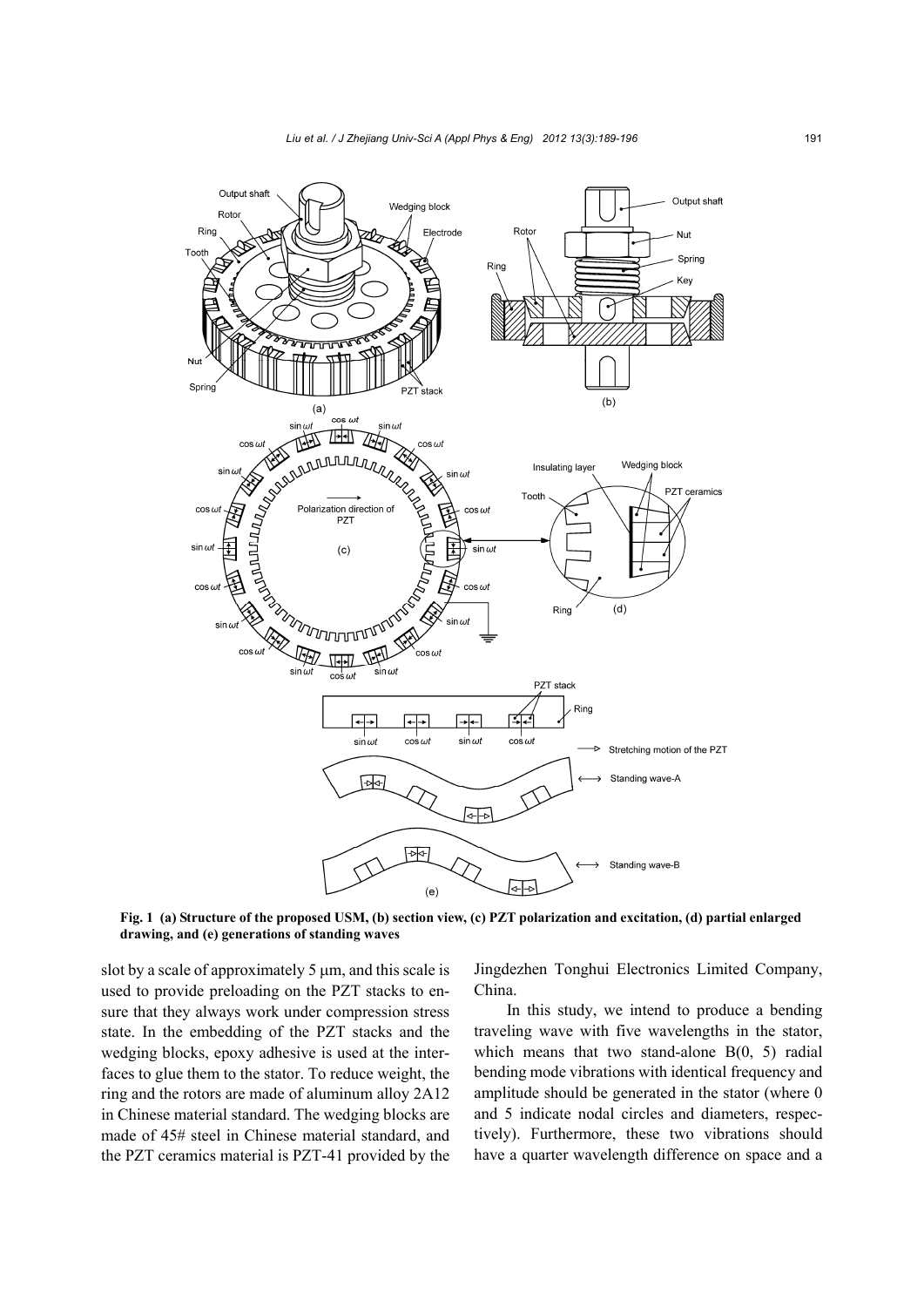

**Fig. 1 (a) Structure of the proposed USM, (b) section view, (c) PZT polarization and excitation, (d) partial enlarged drawing, and (e) generations of standing waves**

slot by a scale of approximately  $5 \mu m$ , and this scale is used to provide preloading on the PZT stacks to ensure that they always work under compression stress state. In the embedding of the PZT stacks and the wedging blocks, epoxy adhesive is used at the interfaces to glue them to the stator. To reduce weight, the ring and the rotors are made of aluminum alloy 2A12 in Chinese material standard. The wedging blocks are made of 45# steel in Chinese material standard, and the PZT ceramics material is PZT-41 provided by the Jingdezhen Tonghui Electronics Limited Company, China.

In this study, we intend to produce a bending traveling wave with five wavelengths in the stator, which means that two stand-alone B(0, 5) radial bending mode vibrations with identical frequency and amplitude should be generated in the stator (where 0 and 5 indicate nodal circles and diameters, respectively). Furthermore, these two vibrations should have a quarter wavelength difference on space and a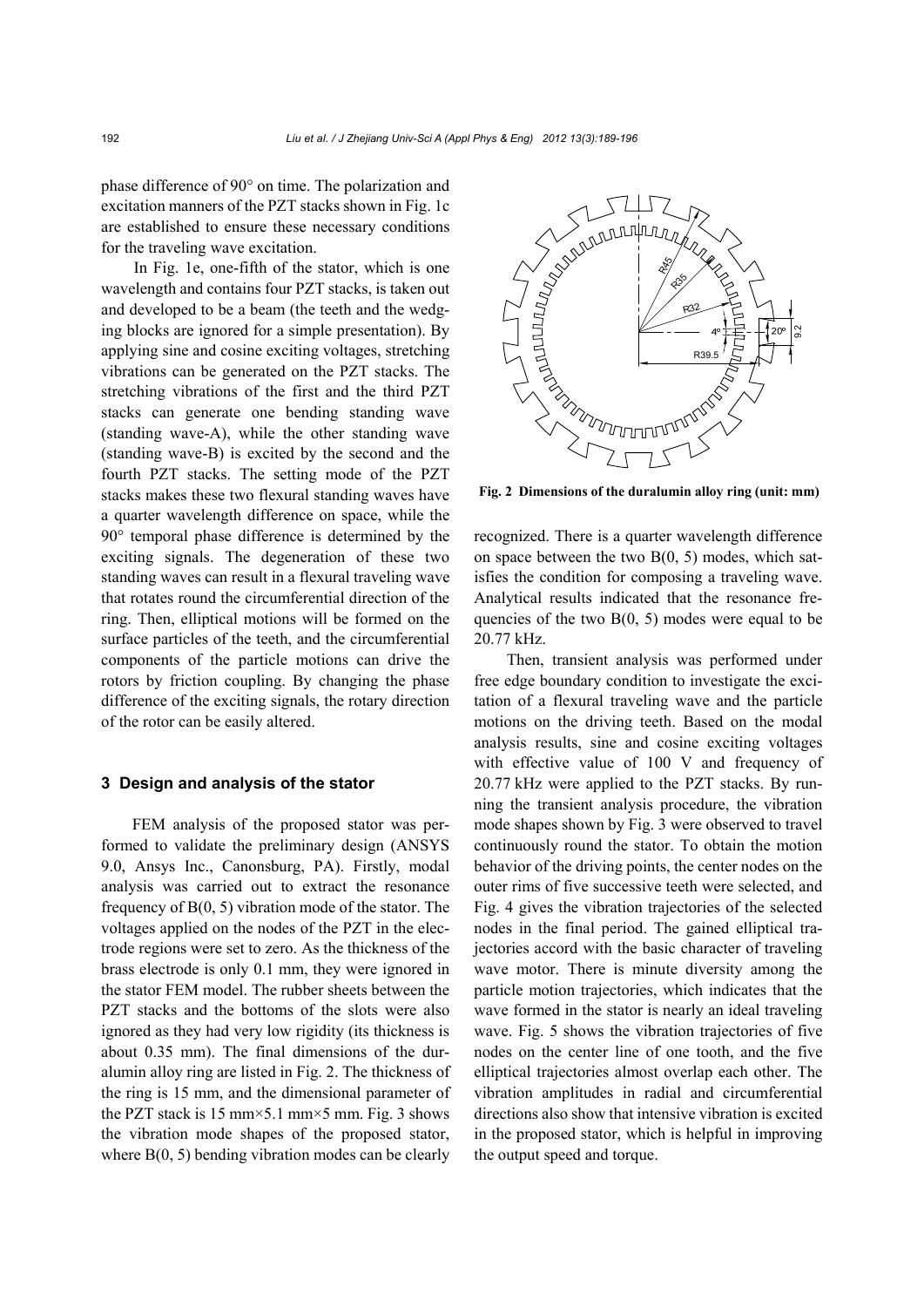phase difference of 90° on time. The polarization and excitation manners of the PZT stacks shown in Fig. 1c are established to ensure these necessary conditions for the traveling wave excitation.

In Fig. 1e, one-fifth of the stator, which is one wavelength and contains four PZT stacks, is taken out and developed to be a beam (the teeth and the wedging blocks are ignored for a simple presentation). By applying sine and cosine exciting voltages, stretching vibrations can be generated on the PZT stacks. The stretching vibrations of the first and the third PZT stacks can generate one bending standing wave (standing wave-A), while the other standing wave (standing wave-B) is excited by the second and the fourth PZT stacks. The setting mode of the PZT stacks makes these two flexural standing waves have a quarter wavelength difference on space, while the 90° temporal phase difference is determined by the exciting signals. The degeneration of these two standing waves can result in a flexural traveling wave that rotates round the circumferential direction of the ring. Then, elliptical motions will be formed on the surface particles of the teeth, and the circumferential components of the particle motions can drive the rotors by friction coupling. By changing the phase difference of the exciting signals, the rotary direction of the rotor can be easily altered.

#### **3 Design and analysis of the stator**

FEM analysis of the proposed stator was performed to validate the preliminary design (ANSYS 9.0, Ansys Inc., Canonsburg, PA). Firstly, modal analysis was carried out to extract the resonance frequency of B(0, 5) vibration mode of the stator. The voltages applied on the nodes of the PZT in the electrode regions were set to zero. As the thickness of the brass electrode is only 0.1 mm, they were ignored in the stator FEM model. The rubber sheets between the PZT stacks and the bottoms of the slots were also ignored as they had very low rigidity (its thickness is about 0.35 mm). The final dimensions of the duralumin alloy ring are listed in Fig. 2. The thickness of the ring is 15 mm, and the dimensional parameter of the PZT stack is 15 mm $\times$ 5.1 mm $\times$ 5 mm. Fig. 3 shows the vibration mode shapes of the proposed stator, where B(0, 5) bending vibration modes can be clearly



**Fig. 2 Dimensions of the duralumin alloy ring (unit: mm)**

recognized. There is a quarter wavelength difference on space between the two  $B(0, 5)$  modes, which satisfies the condition for composing a traveling wave. Analytical results indicated that the resonance frequencies of the two  $B(0, 5)$  modes were equal to be 20.77 kHz.

Then, transient analysis was performed under free edge boundary condition to investigate the excitation of a flexural traveling wave and the particle motions on the driving teeth. Based on the modal analysis results, sine and cosine exciting voltages with effective value of 100 V and frequency of 20.77 kHz were applied to the PZT stacks. By running the transient analysis procedure, the vibration mode shapes shown by Fig. 3 were observed to travel continuously round the stator. To obtain the motion behavior of the driving points, the center nodes on the outer rims of five successive teeth were selected, and Fig. 4 gives the vibration trajectories of the selected nodes in the final period. The gained elliptical trajectories accord with the basic character of traveling wave motor. There is minute diversity among the particle motion trajectories, which indicates that the wave formed in the stator is nearly an ideal traveling wave. Fig. 5 shows the vibration trajectories of five nodes on the center line of one tooth, and the five elliptical trajectories almost overlap each other. The vibration amplitudes in radial and circumferential directions also show that intensive vibration is excited in the proposed stator, which is helpful in improving the output speed and torque.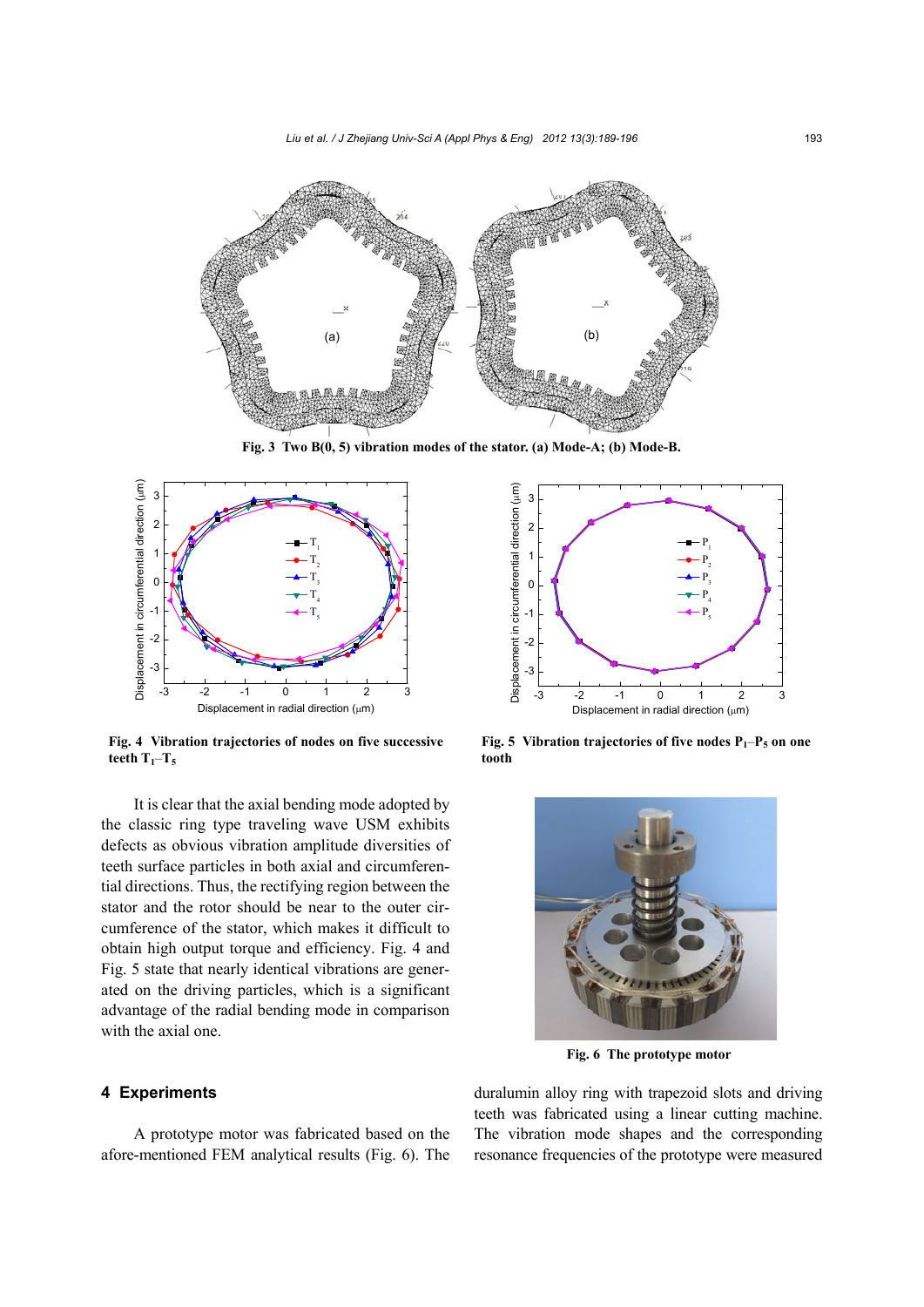*Liu et al. / J Zhejiang Univ-Sci A (Appl Phys & Eng) 2012 13(3):189-196* 193



**Fig. 3 Two B(0, 5) vibration modes of the stator. (a) Mode-A; (b) Mode-B.**



**Fig. 4 Vibration trajectories of nodes on five successive**  teeth  $T_1 - T_5$ 

It is clear that the axial bending mode adopted by the classic ring type traveling wave USM exhibits defects as obvious vibration amplitude diversities of teeth surface particles in both axial and circumferential directions. Thus, the rectifying region between the stator and the rotor should be near to the outer circumference of the stator, which makes it difficult to obtain high output torque and efficiency. Fig. 4 and Fig. 5 state that nearly identical vibrations are generated on the driving particles, which is a significant advantage of the radial bending mode in comparison with the axial one.

## **4 Experiments**

A prototype motor was fabricated based on the afore-mentioned FEM analytical results (Fig. 6). The



**Fig. 5 Vibration trajectories of five nodes**  $P_1-P_5$  **on one tooth** 



**Fig. 6 The prototype motor**

duralumin alloy ring with trapezoid slots and driving teeth was fabricated using a linear cutting machine. The vibration mode shapes and the corresponding resonance frequencies of the prototype were measured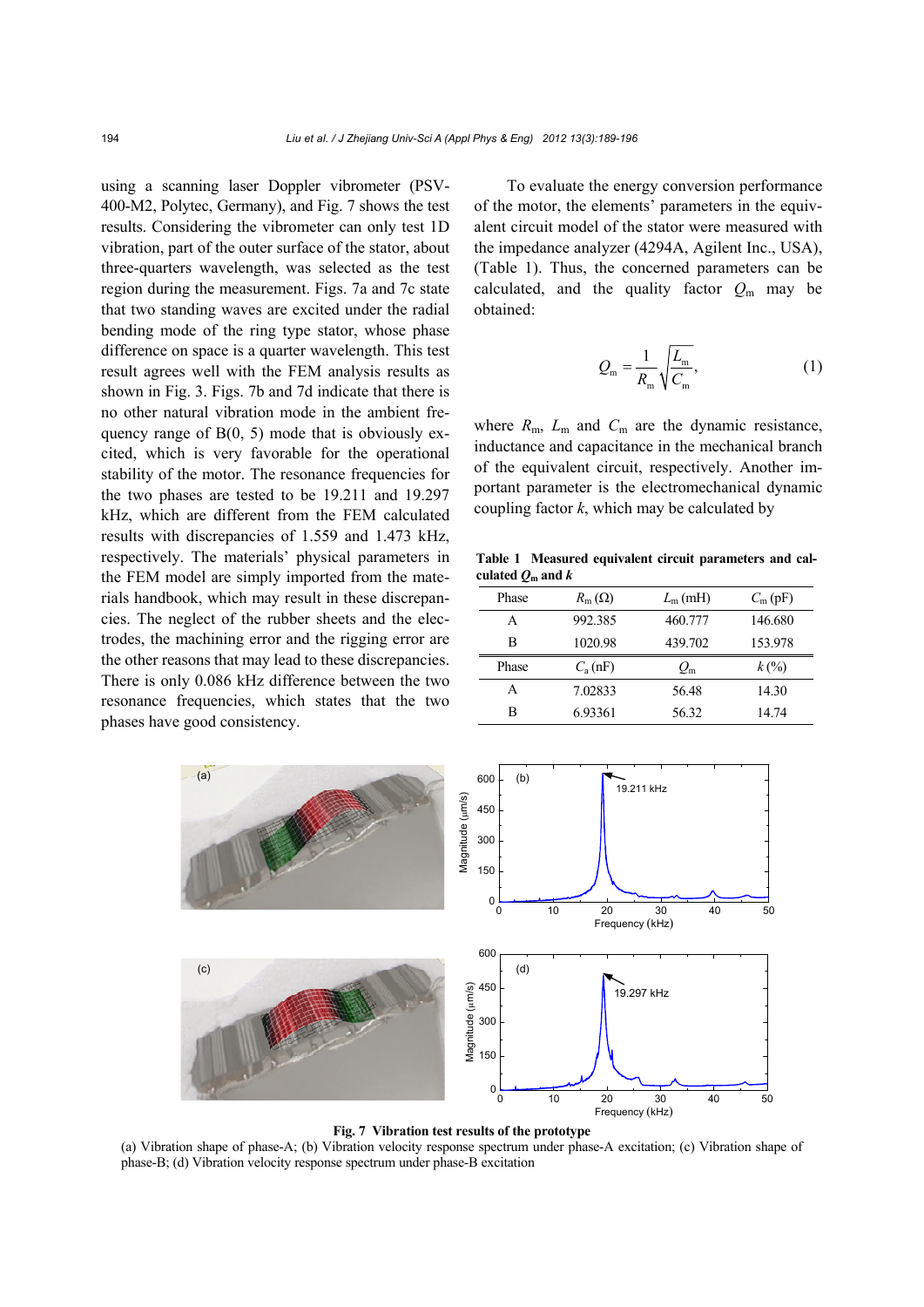using a scanning laser Doppler vibrometer (PSV-400-M2, Polytec, Germany), and Fig. 7 shows the test results. Considering the vibrometer can only test 1D vibration, part of the outer surface of the stator, about three-quarters wavelength, was selected as the test region during the measurement. Figs. 7a and 7c state that two standing waves are excited under the radial bending mode of the ring type stator, whose phase difference on space is a quarter wavelength. This test result agrees well with the FEM analysis results as shown in Fig. 3. Figs. 7b and 7d indicate that there is no other natural vibration mode in the ambient frequency range of  $B(0, 5)$  mode that is obviously excited, which is very favorable for the operational stability of the motor. The resonance frequencies for the two phases are tested to be 19.211 and 19.297 kHz, which are different from the FEM calculated results with discrepancies of 1.559 and 1.473 kHz, respectively. The materials' physical parameters in the FEM model are simply imported from the materials handbook, which may result in these discrepancies. The neglect of the rubber sheets and the electrodes, the machining error and the rigging error are the other reasons that may lead to these discrepancies. There is only 0.086 kHz difference between the two resonance frequencies, which states that the two phases have good consistency.

To evaluate the energy conversion performance of the motor, the elements' parameters in the equivalent circuit model of the stator were measured with the impedance analyzer (4294A, Agilent Inc., USA), (Table 1). Thus, the concerned parameters can be calculated, and the quality factor  $Q_m$  may be obtained:

$$
Q_{\rm m} = \frac{1}{R_{\rm m}} \sqrt{\frac{L_{\rm m}}{C_{\rm m}}},\tag{1}
$$

where  $R_m$ ,  $L_m$  and  $C_m$  are the dynamic resistance, inductance and capacitance in the mechanical branch of the equivalent circuit, respectively. Another important parameter is the electromechanical dynamic coupling factor *k*, which may be calculated by

**Table 1 Measured equivalent circuit parameters and cal**culated  $Q_m$  and  $k$ 

| Phase | $R_{\rm m}(\Omega)$ | $L_{\rm m}$ (mH) | $C_{\rm m}$ (pF)            |
|-------|---------------------|------------------|-----------------------------|
| A     | 992.385             | 460.777          | 146.680                     |
| В     | 1020.98             | 439.702          | 153.978                     |
|       |                     |                  |                             |
| Phase | $C_{\rm a}$ (nF)    | $Q_{\rm m}$      | $k\left(\frac{9}{6}\right)$ |
| А     | 7.02833             | 56.48            | 14.30                       |



#### **Fig. 7 Vibration test results of the prototype**

(a) Vibration shape of phase-A; (b) Vibration velocity response spectrum under phase-A excitation; (c) Vibration shape of phase-B; (d) Vibration velocity response spectrum under phase-B excitation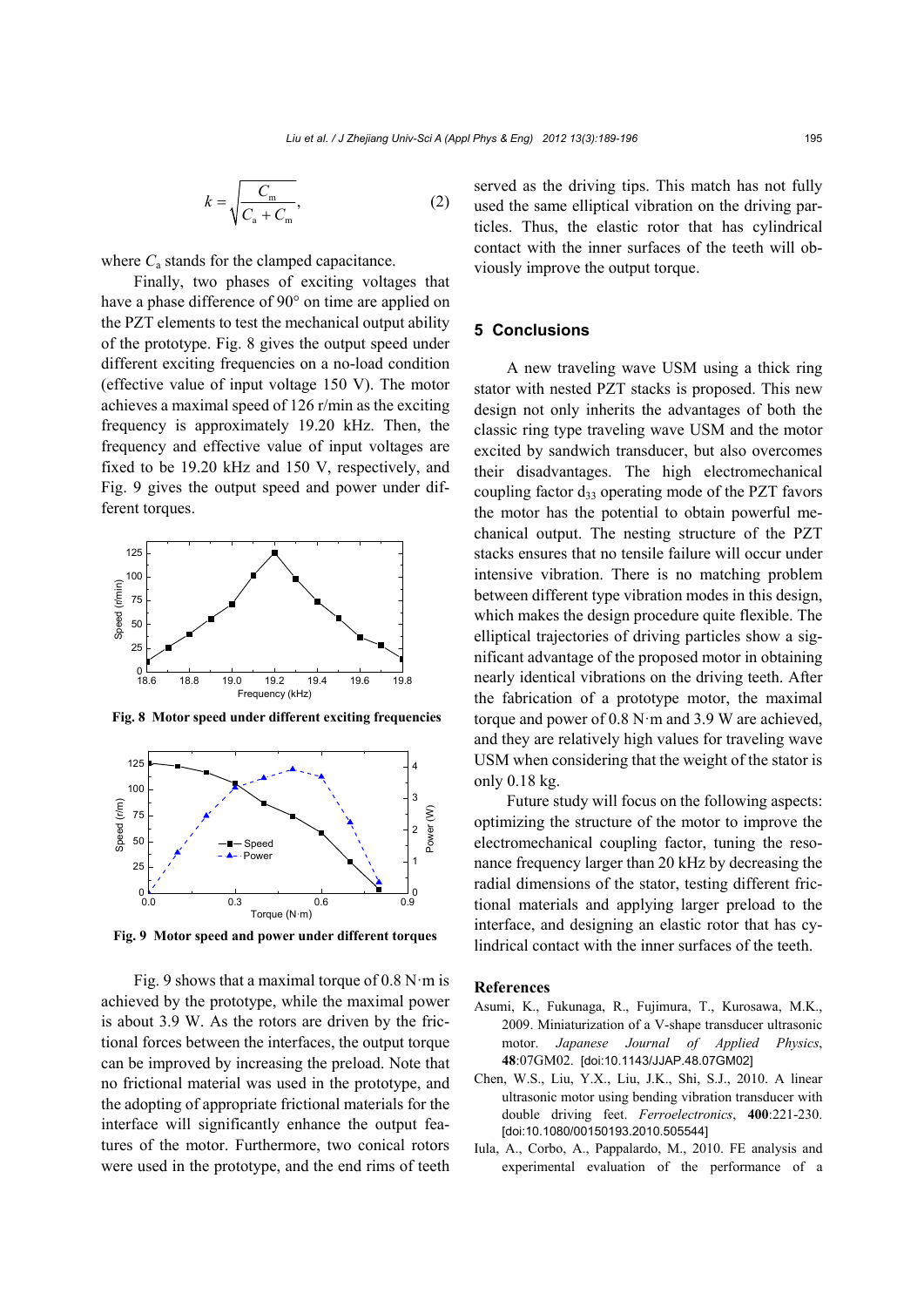$$
k = \sqrt{\frac{C_{\text{m}}}{C_{\text{a}} + C_{\text{m}}}},\tag{2}
$$

where  $C_a$  stands for the clamped capacitance.

Finally, two phases of exciting voltages that have a phase difference of 90° on time are applied on the PZT elements to test the mechanical output ability of the prototype. Fig. 8 gives the output speed under different exciting frequencies on a no-load condition (effective value of input voltage 150 V). The motor achieves a maximal speed of 126 r/min as the exciting frequency is approximately 19.20 kHz. Then, the frequency and effective value of input voltages are fixed to be 19.20 kHz and 150 V, respectively, and Fig. 9 gives the output speed and power under different torques.



**Fig. 8 Motor speed under different exciting frequencies**



**Fig. 9 Motor speed and power under different torques**

Fig. 9 shows that a maximal torque of  $0.8 \text{ N} \cdot \text{m}$  is achieved by the prototype, while the maximal power is about 3.9 W. As the rotors are driven by the frictional forces between the interfaces, the output torque can be improved by increasing the preload. Note that no frictional material was used in the prototype, and the adopting of appropriate frictional materials for the interface will significantly enhance the output features of the motor. Furthermore, two conical rotors were used in the prototype, and the end rims of teeth served as the driving tips. This match has not fully used the same elliptical vibration on the driving particles. Thus, the elastic rotor that has cylindrical contact with the inner surfaces of the teeth will obviously improve the output torque.

# **5 Conclusions**

A new traveling wave USM using a thick ring stator with nested PZT stacks is proposed. This new design not only inherits the advantages of both the classic ring type traveling wave USM and the motor excited by sandwich transducer, but also overcomes their disadvantages. The high electromechanical coupling factor  $d_{33}$  operating mode of the PZT favors the motor has the potential to obtain powerful mechanical output. The nesting structure of the PZT stacks ensures that no tensile failure will occur under intensive vibration. There is no matching problem between different type vibration modes in this design, which makes the design procedure quite flexible. The elliptical trajectories of driving particles show a significant advantage of the proposed motor in obtaining nearly identical vibrations on the driving teeth. After the fabrication of a prototype motor, the maximal torque and power of 0.8 N·m and 3.9 W are achieved, and they are relatively high values for traveling wave USM when considering that the weight of the stator is only 0.18 kg.

Future study will focus on the following aspects: optimizing the structure of the motor to improve the electromechanical coupling factor, tuning the resonance frequency larger than 20 kHz by decreasing the radial dimensions of the stator, testing different frictional materials and applying larger preload to the interface, and designing an elastic rotor that has cylindrical contact with the inner surfaces of the teeth.

#### **References**

- Asumi, K., Fukunaga, R., Fujimura, T., Kurosawa, M.K., 2009. Miniaturization of a V-shape transducer ultrasonic motor. *Japanese Journal of Applied Physics*, **48**:07GM02. [doi:10.1143/JJAP.48.07GM02]
- Chen, W.S., Liu, Y.X., Liu, J.K., Shi, S.J., 2010. A linear ultrasonic motor using bending vibration transducer with double driving feet. *Ferroelectronics*, **400**:221-230. [doi:10.1080/00150193.2010.505544]
- Iula, A., Corbo, A., Pappalardo, M., 2010. FE analysis and experimental evaluation of the performance of a